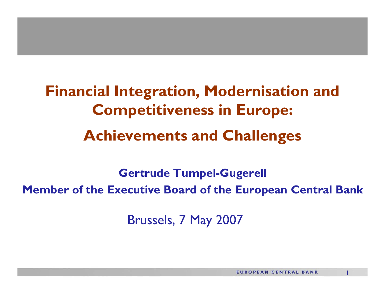**Financial Integration, Modernisation and Competitiveness in Europe: Achievements and Challenges**

**Gertrude Tumpel-Gugerell Member of the Executive Board of the European Central Bank**

Brussels, 7 May 2007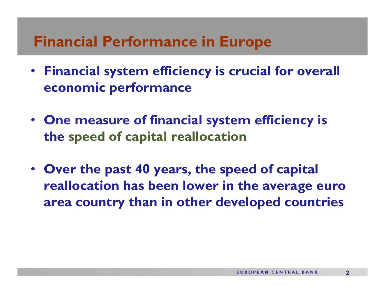- **Financial system efficiency is crucial for overall economic performance**
- **One measure of financial system efficiency is the speed of capital reallocation**
- **Over the past 40 years, the speed of capital reallocation has been lower in the average euro area country than in other developed countries**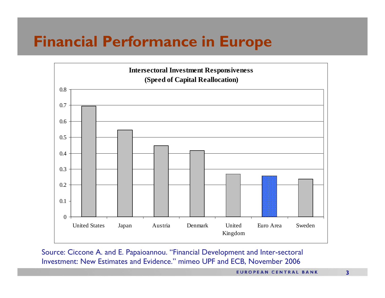

Source: Ciccone A. and E. Papaioannou. "Financial Development and Inter-sectoral Investment: New Estimates and Evidence." mimeo UPF and ECB, November 2006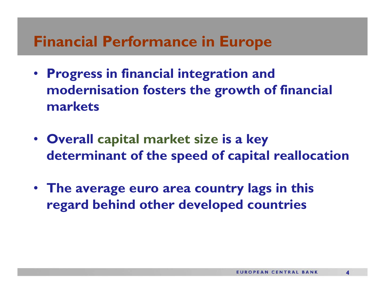- **Progress in financial integration and modernisation fosters the growth of financial markets**
- **Overall capital market size is a key determinant of the speed of capital reallocation**
- **The average euro area country lags in this regard behind other developed countries**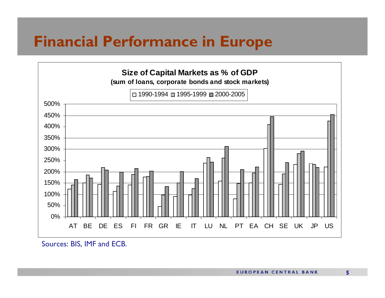

Sources: BIS, IMF and ECB.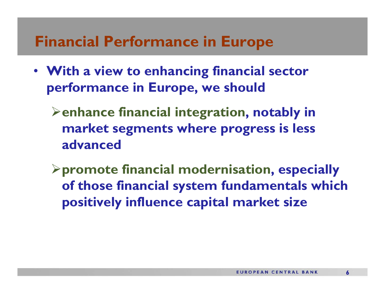• **With a view to enhancing financial sector performance in Europe, we should**

¾**enhance financial integration, notably in market segments where progress is less advanced**

¾**promote financial modernisation, especially of those financial system fundamentals which positively influence capital market size**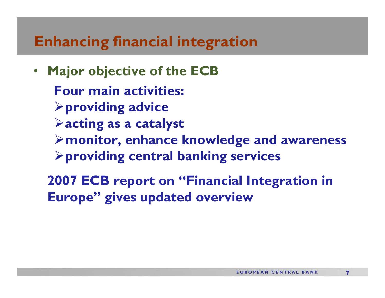$\bullet$  **Major objective of the ECB Four main activities:** ¾**providing advice** ¾**acting as a catalyst** ¾**monitor, enhance knowledge and awareness** ¾**providing central banking services** 

**2007 ECB report on "Financial Integration in Europe" gives updated overview**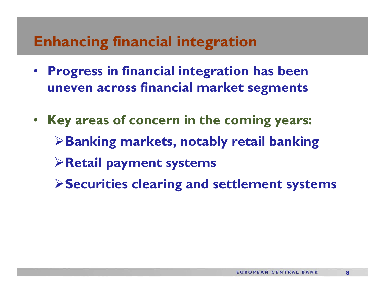- **Progress in financial integration has been uneven across financial market segments**
- **Key areas of concern in the coming years:** ¾**Banking markets, notably retail banking** ¾**Retail payment systems** ¾**Securities clearing and settlement systems**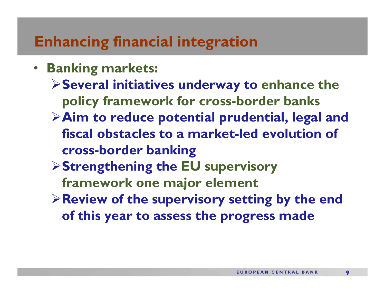- **Banking markets:** 
	- ¾**Several initiatives underway to enhance the policy framework for cross-border banks**
	- ¾**Aim to reduce potential prudential, legal and fiscal obstacles to a market-led evolution of cross-border banking**
	- ¾**Strengthening the EU supervisory framework one major element**
	- ¾**Review of the supervisory setting by the end of this year to assess the progress made**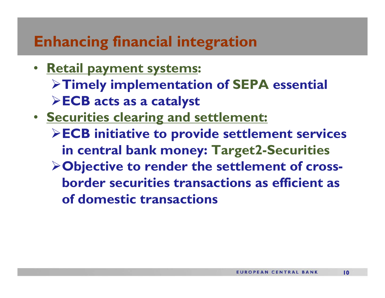- **Retail payment systems:** ¾**Timely implementation of SEPA essential** ¾**ECB acts as a catalyst**
- **Securities clearing and settlement:** ¾**ECB initiative to provide settlement services in central bank money: Target2-Securities** ¾**Objective to render the settlement of crossborder securities transactions as efficient as of domestic transactions**

**10**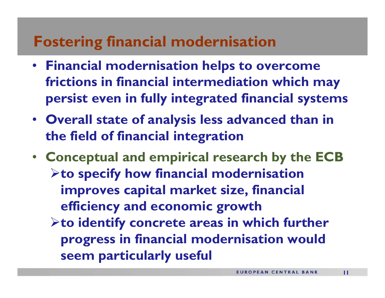- **Financial modernisation helps to overcome frictions in financial intermediation which may persist even in fully integrated financial systems**
- **Overall state of analysis less advanced than in the field of financial integration**
- **Conceptual and empirical research by the ECB** ¾**to specify how financial modernisation improves capital market size, financial efficiency and economic growth** ¾**to identify concrete areas in which further progress in financial modernisation would seem particularly useful**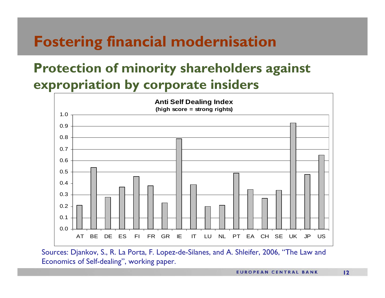#### **Protection of minority shareholders against expropriation by corporate insiders**



Sources: Djankov, S., R. La Porta, F. Lopez-de-Silanes, and A. Shleifer, 2006, "The Law and Economics of Self-dealing", working paper.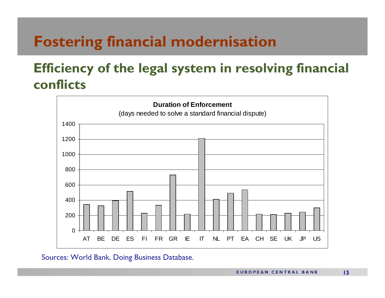#### **Efficiency of the legal system in resolving financial conflicts**



#### Sources: World Bank, Doing Business Database.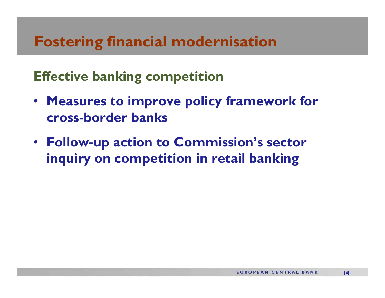**Effective banking competition**

- **Measures to improve policy framework for cross-border banks**
- **Follow-up action to Commission's sector inquiry on competition in retail banking**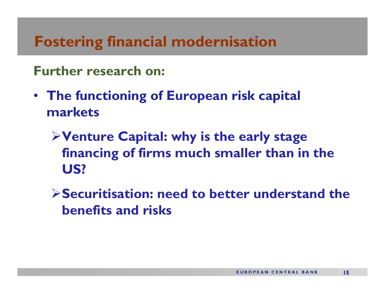#### **Further research on:**

- **The functioning of European risk capital markets**
	- ¾**Venture Capital: why is the early stage financing of firms much smaller than in the US?**
	- ¾**Securitisation: need to better understand the benefits and risks**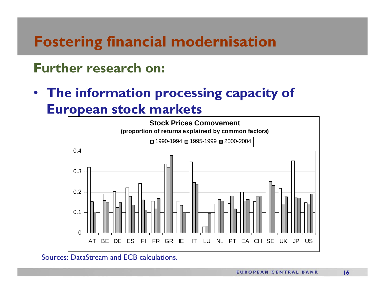#### **Further research on:**

• **The information processing capacity of European stock markets**



Sources: DataStream and ECB calculations.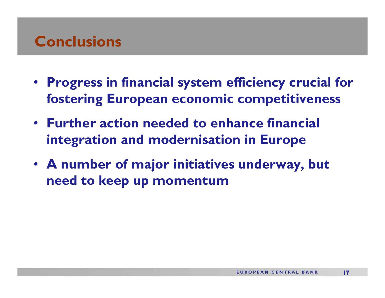#### **Conclusions**

- **Progress in financial system efficiency crucial for fostering European economic competitiveness**
- **Further action needed to enhance financial integration and modernisation in Europe**
- **A number of major initiatives underway, but need to keep up momentum**